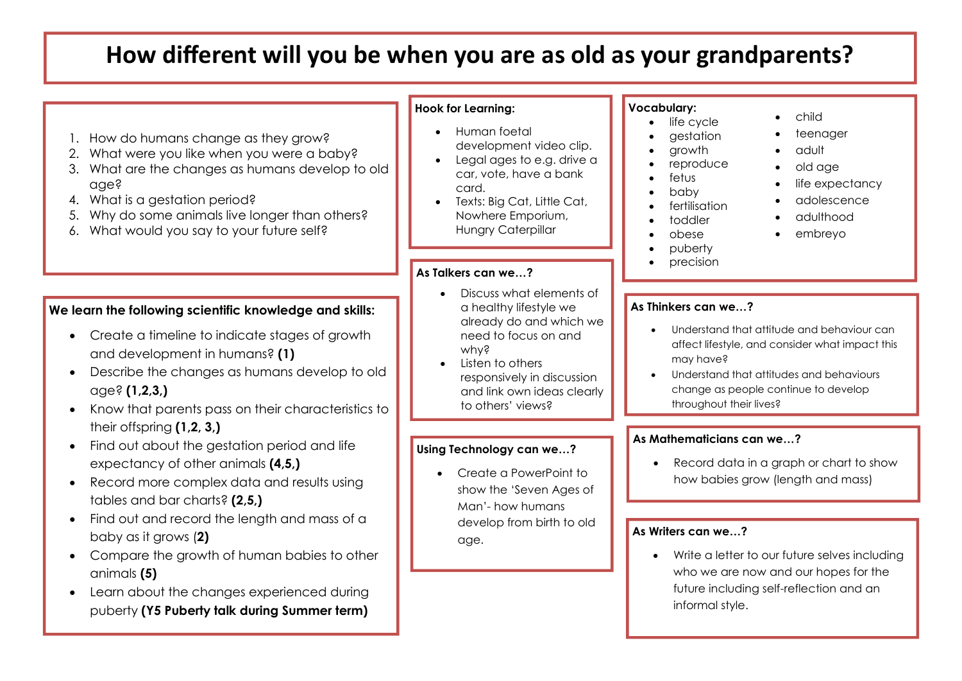# **How different will you be when you are as old as your grandparents?**

| 1. How do humans change as they grow?<br>What were you like when you were a baby?<br>2.<br>3. What are the changes as humans develop to old<br>age?<br>4. What is a gestation period?<br>Why do some animals live longer than others?<br>5.<br>6. What would you say to your future self?                                            | <b>Hook for Learning:</b><br>Human foetal<br>development video clip.<br>Legal ages to e.g. drive a<br>car, vote, have a bank<br>card.<br>Texts: Big Cat, Little Cat,<br>Nowhere Emporium,<br>Hungry Caterpillar                 | <b>Vocabulary:</b><br>child<br>life cycle<br>teenager<br>gestation<br>growth<br>adult<br>reproduce<br>old age<br>fetus<br>life expectancy<br>baby<br>adolescence<br>fertilisation<br>adulthood<br>toddler<br>embreyo<br>obese<br>puberty<br>precision               |
|--------------------------------------------------------------------------------------------------------------------------------------------------------------------------------------------------------------------------------------------------------------------------------------------------------------------------------------|---------------------------------------------------------------------------------------------------------------------------------------------------------------------------------------------------------------------------------|---------------------------------------------------------------------------------------------------------------------------------------------------------------------------------------------------------------------------------------------------------------------|
|                                                                                                                                                                                                                                                                                                                                      | As Talkers can we?                                                                                                                                                                                                              |                                                                                                                                                                                                                                                                     |
| We learn the following scientific knowledge and skills:<br>Create a timeline to indicate stages of growth<br>$\bullet$<br>and development in humans? (1)<br>Describe the changes as humans develop to old<br>age? (1,2,3)<br>Know that parents pass on their characteristics to                                                      | Discuss what elements of<br>$\bullet$<br>a healthy lifestyle we<br>already do and which we<br>need to focus on and<br>why?<br>Listen to others<br>responsively in discussion<br>and link own ideas clearly<br>to others' views? | As Thinkers can we?<br>Understand that attitude and behaviour can<br>affect lifestyle, and consider what impact this<br>may have?<br>Understand that attitudes and behaviours<br>change as people continue to develop<br>throughout their lives?                    |
| their offspring $(1,2,3)$<br>Find out about the gestation period and life<br>expectancy of other animals (4,5,)<br>Record more complex data and results using<br>tables and bar charts? (2,5,)<br>Find out and record the length and mass of a<br>baby as it grows (2)<br>Compare the growth of human babies to other<br>animals (5) | Using Technology can we?<br>Create a PowerPoint to<br>show the 'Seven Ages of<br>Man'- how humans<br>develop from birth to old<br>age.                                                                                          | As Mathematicians can we?<br>Record data in a graph or chart to show<br>how babies grow (length and mass)<br>As Writers can we?<br>Write a letter to our future selves including<br>who we are now and our hopes for the<br>future including self-reflection and an |
| Learn about the changes experienced during<br>puberty (Y5 Puberty talk during Summer term)                                                                                                                                                                                                                                           |                                                                                                                                                                                                                                 | informal style.                                                                                                                                                                                                                                                     |
|                                                                                                                                                                                                                                                                                                                                      |                                                                                                                                                                                                                                 |                                                                                                                                                                                                                                                                     |